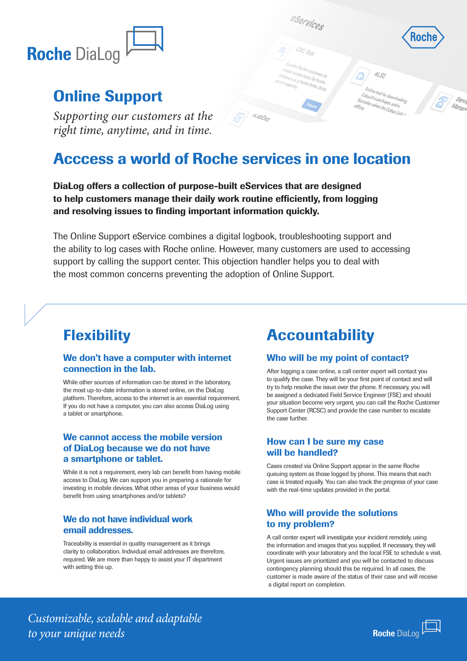

## Online Support

*Supporting our customers at the right time, anytime, and in time.*

## Acccess a world of Roche services in one location

elabboo

DiaLog offers a collection of purpose-built eServices that are designed to help customers manage their daily work routine efficiently, from logging and resolving issues to finding important information quickly.

The Online Support eService combines a digital logbook, troubleshooting support and the ability to log cases with Roche online. However, many customers are used to accessing support by calling the support center. This objection handler helps you to deal with the most common concerns preventing the adoption of Online Support.

### **Flexibility**

### We don't have a computer with internet connection in the lab.

While other sources of information can be stored in the laboratory, the most up-to-date information is stored online, on the DiaLog platform. Therefore, access to the internet is an essential requirement. If you do not have a computer, you can also access DiaLog using a tablet or smartphone.

### We cannot access the mobile version of DiaLog because we do not have a smartphone or tablet.

While it is not a requirement, every lab can benefit from having mobile access to DiaLog. We can support you in preparing a rationale for investing in mobile devices. What other areas of your business would benefit from using smartphones and/or tablets?

#### We do not have individual work email addresses.

Traceability is essential in quality management as it brings clarity to collaboration. Individual email addresses are therefore, required. We are more than happy to assist your IT department with setting this up.

## **Accountability**

eservices

m tests for Roche<br>Home-breeche

Home brew, third.

### Who will be my point of contact?

After logging a case online, a call center expert will contact you to qualify the case. They will be your first point of contact and will try to help resolve the issue over the phone. If necessary, you will be assigned a dedicated Field Service Engineer (FSE) and should your situation become very urgent, you can call the Roche Customer Support Center (RCSC) and provide the case number to escalate the case further.

### How can I be sure my case will be handled?

Cases created via Online Support appear in the same Roche queuing system as those logged by phone. This means that each case is treated equally. You can also track the progress of your case with the real-time updates provided in the portal.

### Who will provide the solutions to my problem?

A call center expert will investigate your incident remotely, using the information and images that you supplied. If necessary, they will coordinate with your laboratory and the local FSE to schedule a visit. Urgent issues are prioritized and you will be contacted to discuss contingency planning should this be required. In all cases, the customer is made aware of the status of their case and will receive a digital report on completion.

*Customizable, scalable and adaptable to your unique needs*



Online tool for downlor<br>obas@epackan Unline tool for downloa<br>Cobas@e packages and e<br>Teodes when the Coha onas@epackages.andex.com/oading="""<br>Barcodes when the Cobas Link

 $\alpha$ ss